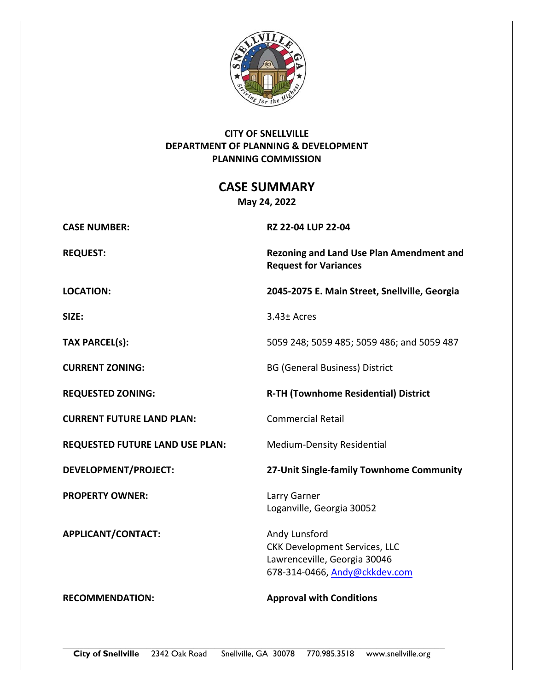

# **CITY OF SNELLVILLE DEPARTMENT OF PLANNING & DEVELOPMENT PLANNING COMMISSION**

**CASE SUMMARY** 

**May 24, 2022** 

**CASE NUMBER: RZ 22‐04 LUP 22‐04** 

**CURRENT FUTURE LAND PLAN:**  Commercial Retail

**REQUESTED FUTURE LAND USE PLAN:** Medium-Density Residential

**PROPERTY OWNER:** Larry Garner

APPLICANT/CONTACT: Andy Lunsford

**REQUEST: Rezoning and Land Use Plan Amendment and Request for Variances** 

**LOCATION: 2045‐2075 E. Main Street, Snellville, Georgia** 

**SIZE:**  3.43± Acres

**TAX PARCEL(s):** 5059 248; 5059 485; 5059 486; and 5059 487

**CURRENT ZONING:** BG (General Business) District

REQUESTED ZONING: REQUESTED ZONING:

**DEVELOPMENT/PROJECT: 27‐Unit Single‐family Townhome Community**

Loganville, Georgia 30052

CKK Development Services, LLC Lawrenceville, Georgia 30046 678‐314‐0466, Andy@ckkdev.com

**RECOMMENDATION: Approval with Conditions**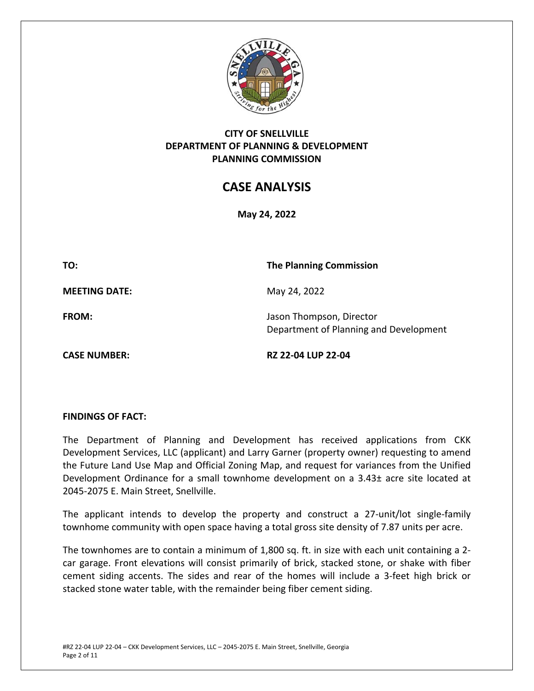

# **CITY OF SNELLVILLE DEPARTMENT OF PLANNING & DEVELOPMENT PLANNING COMMISSION**

# **CASE ANALYSIS**

**May 24, 2022** 

**TO: The Planning Commission** 

**MEETING DATE:** May 24, 2022

**FROM: Identify Last Line State Server Server State Server Server State Server Server State Server Server Server Server Server Server Server Server Server Server Server Server Server Server Server Server Server Server** Department of Planning and Development

**CASE NUMBER: RZ 22‐04 LUP 22‐04** 

## **FINDINGS OF FACT:**

The Department of Planning and Development has received applications from CKK Development Services, LLC (applicant) and Larry Garner (property owner) requesting to amend the Future Land Use Map and Official Zoning Map, and request for variances from the Unified Development Ordinance for a small townhome development on a 3.43± acre site located at 2045‐2075 E. Main Street, Snellville.

The applicant intends to develop the property and construct a 27-unit/lot single-family townhome community with open space having a total gross site density of 7.87 units per acre.

The townhomes are to contain a minimum of 1,800 sq. ft. in size with each unit containing a 2‐ car garage. Front elevations will consist primarily of brick, stacked stone, or shake with fiber cement siding accents. The sides and rear of the homes will include a 3‐feet high brick or stacked stone water table, with the remainder being fiber cement siding.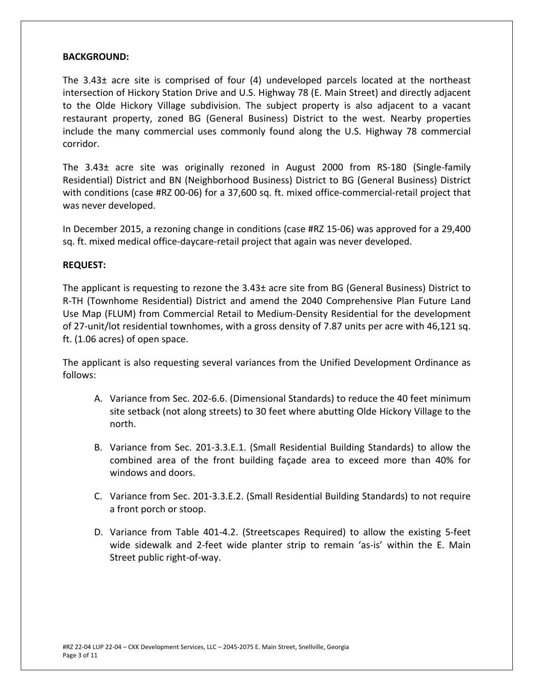#### **BACKGROUND:**

The 3.43± acre site is comprised of four (4) undeveloped parcels located at the northeast intersection of Hickory Station Drive and U.S. Highway 78 (E. Main Street) and directly adjacent to the Olde Hickory Village subdivision. The subject property is also adjacent to a vacant restaurant property, zoned BG (General Business) District to the west. Nearby properties include the many commercial uses commonly found along the U.S. Highway 78 commercial corridor.

The 3.43± acre site was originally rezoned in August 2000 from RS-180 (Single-family Residential) District and BN (Neighborhood Business) District to BG (General Business) District with conditions (case #RZ 00-06) for a 37,600 sq. ft. mixed office-commercial-retail project that was never developed.

In December 2015, a rezoning change in conditions (case #RZ 15‐06) was approved for a 29,400 sq. ft. mixed medical office‐daycare‐retail project that again was never developed.

#### **REQUEST:**

The applicant is requesting to rezone the 3.43± acre site from BG (General Business) District to R‐TH (Townhome Residential) District and amend the 2040 Comprehensive Plan Future Land Use Map (FLUM) from Commercial Retail to Medium‐Density Residential for the development of 27‐unit/lot residential townhomes, with a gross density of 7.87 units per acre with 46,121 sq. ft. (1.06 acres) of open space.

The applicant is also requesting several variances from the Unified Development Ordinance as follows:

- A. Variance from Sec. 202‐6.6. (Dimensional Standards) to reduce the 40 feet minimum site setback (not along streets) to 30 feet where abutting Olde Hickory Village to the north.
- B. Variance from Sec. 201-3.3.E.1. (Small Residential Building Standards) to allow the combined area of the front building façade area to exceed more than 40% for windows and doors.
- C. Variance from Sec. 201‐3.3.E.2. (Small Residential Building Standards) to not require a front porch or stoop.
- D. Variance from Table 401‐4.2. (Streetscapes Required) to allow the existing 5‐feet wide sidewalk and 2-feet wide planter strip to remain 'as-is' within the E. Main Street public right‐of‐way.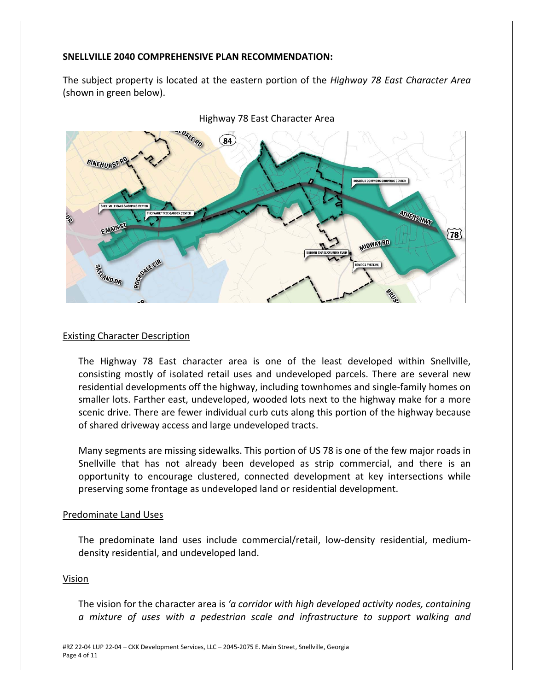#### **SNELLVILLE 2040 COMPREHENSIVE PLAN RECOMMENDATION:**

The subject property is located at the eastern portion of the *Highway 78 East Character Area* (shown in green below).





#### Existing Character Description

The Highway 78 East character area is one of the least developed within Snellville, consisting mostly of isolated retail uses and undeveloped parcels. There are several new residential developments off the highway, including townhomes and single‐family homes on smaller lots. Farther east, undeveloped, wooded lots next to the highway make for a more scenic drive. There are fewer individual curb cuts along this portion of the highway because of shared driveway access and large undeveloped tracts.

Many segments are missing sidewalks. This portion of US 78 is one of the few major roads in Snellville that has not already been developed as strip commercial, and there is an opportunity to encourage clustered, connected development at key intersections while preserving some frontage as undeveloped land or residential development.

#### Predominate Land Uses

The predominate land uses include commercial/retail, low‐density residential, medium‐ density residential, and undeveloped land.

#### Vision

The vision for the character area is *'a corridor with high developed activity nodes, containing a mixture of uses with a pedestrian scale and infrastructure to support walking and*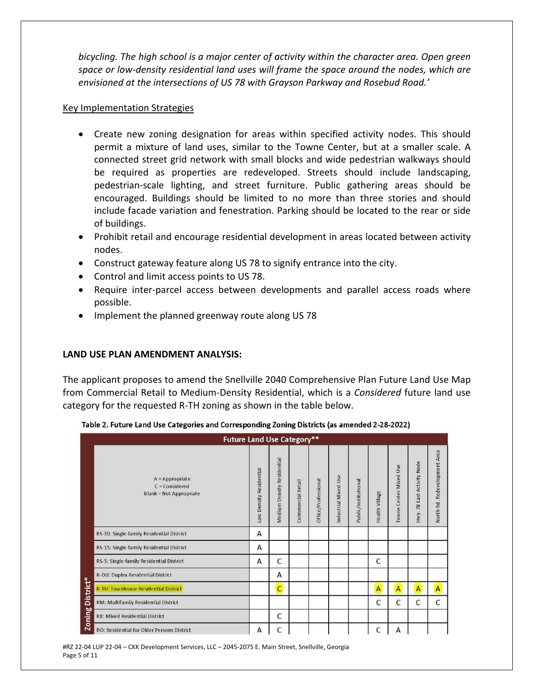*bicycling. The high school is a major center of activity within the character area. Open green space or low‐density residential land uses will frame the space around the nodes, which are envisioned at the intersections of US 78 with Grayson Parkway and Rosebud Road.'* 

#### Key Implementation Strategies

- Create new zoning designation for areas within specified activity nodes. This should permit a mixture of land uses, similar to the Towne Center, but at a smaller scale. A connected street grid network with small blocks and wide pedestrian walkways should be required as properties are redeveloped. Streets should include landscaping, pedestrian‐scale lighting, and street furniture. Public gathering areas should be encouraged. Buildings should be limited to no more than three stories and should include facade variation and fenestration. Parking should be located to the rear or side of buildings.
- Prohibit retail and encourage residential development in areas located between activity nodes.
- Construct gateway feature along US 78 to signify entrance into the city.
- Control and limit access points to US 78.
- Require inter-parcel access between developments and parallel access roads where possible.
- Implement the planned greenway route along US 78

## **LAND USE PLAN AMENDMENT ANALYSIS:**

The applicant proposes to amend the Snellville 2040 Comprehensive Plan Future Land Use Map from Commercial Retail to Medium‐Density Residential, which is a *Considered* future land use category for the requested R‐TH zoning as shown in the table below.

|                            | <b>Future Land Use Category**</b>                                       |                         |                            |                    |                     |                      |                      |                |                        |                            |                              |
|----------------------------|-------------------------------------------------------------------------|-------------------------|----------------------------|--------------------|---------------------|----------------------|----------------------|----------------|------------------------|----------------------------|------------------------------|
|                            | $A = Appropriate$<br>$C = Considered$<br><b>Blank = Not Appropriate</b> | Low Density Residential | Medium Density Residential | Coimmercial Retail | Office/Professional | Industrial Mixed-Use | Public/Institutional | Health Village | Towne Center Mixed Use | Hwy. 78 East Activity Node | North Rd. Redevelopment Area |
| District*<br><b>Zoning</b> | RS-30: Single-family Residential District                               | A                       |                            |                    |                     |                      |                      |                |                        |                            |                              |
|                            | RS-15: Single-family Residential District                               | A                       |                            |                    |                     |                      |                      |                |                        |                            |                              |
|                            | RS-5: Single-family Residential District                                | A                       | C                          |                    |                     |                      |                      | C              |                        |                            |                              |
|                            | R-DU: Duplex Residential District                                       |                         | A                          |                    |                     |                      |                      |                |                        |                            |                              |
|                            | <b>R-TH: Townhouse Residential District</b>                             |                         | $\overline{C}$             |                    |                     |                      |                      | A              | A                      | $\overline{A}$             | $\overline{A}$               |
|                            | RM: Multifamily Residential District                                    |                         |                            |                    |                     |                      |                      | C              | C                      | C                          | C                            |
|                            | RX: Mixed Residential District                                          |                         | C                          |                    |                     |                      |                      |                |                        |                            |                              |
|                            | <b>RO: Residential for Older Persons District</b>                       | A                       | C                          |                    |                     |                      |                      | C              | А                      |                            |                              |

|  |  | Table 2. Future Land Use Categories and Corresponding Zoning Districts (as amended 2-28-2022) |
|--|--|-----------------------------------------------------------------------------------------------|
|--|--|-----------------------------------------------------------------------------------------------|

#RZ 22‐04 LUP 22‐04 – CKK Development Services, LLC – 2045‐2075 E. Main Street, Snellville, Georgia Page 5 of 11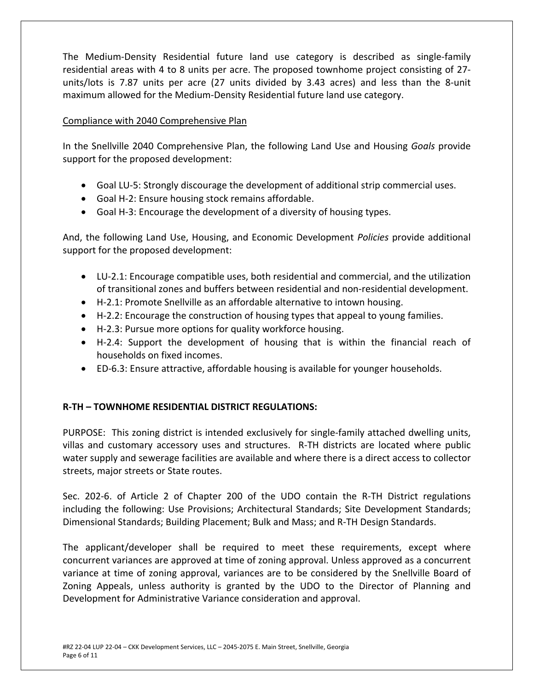The Medium‐Density Residential future land use category is described as single‐family residential areas with 4 to 8 units per acre. The proposed townhome project consisting of 27‐ units/lots is 7.87 units per acre (27 units divided by 3.43 acres) and less than the 8‐unit maximum allowed for the Medium‐Density Residential future land use category.

## Compliance with 2040 Comprehensive Plan

In the Snellville 2040 Comprehensive Plan, the following Land Use and Housing *Goals* provide support for the proposed development:

- Goal LU-5: Strongly discourage the development of additional strip commercial uses.
- Goal H-2: Ensure housing stock remains affordable.
- Goal H-3: Encourage the development of a diversity of housing types.

And, the following Land Use, Housing, and Economic Development *Policies* provide additional support for the proposed development:

- LU-2.1: Encourage compatible uses, both residential and commercial, and the utilization of transitional zones and buffers between residential and non‐residential development.
- H-2.1: Promote Snellville as an affordable alternative to intown housing.
- H-2.2: Encourage the construction of housing types that appeal to young families.
- H-2.3: Pursue more options for quality workforce housing.
- H-2.4: Support the development of housing that is within the financial reach of households on fixed incomes.
- ED-6.3: Ensure attractive, affordable housing is available for younger households.

# **R‐TH – TOWNHOME RESIDENTIAL DISTRICT REGULATIONS:**

PURPOSE: This zoning district is intended exclusively for single‐family attached dwelling units, villas and customary accessory uses and structures. R-TH districts are located where public water supply and sewerage facilities are available and where there is a direct access to collector streets, major streets or State routes.

Sec. 202-6. of Article 2 of Chapter 200 of the UDO contain the R-TH District regulations including the following: Use Provisions; Architectural Standards; Site Development Standards; Dimensional Standards; Building Placement; Bulk and Mass; and R‐TH Design Standards.

The applicant/developer shall be required to meet these requirements, except where concurrent variances are approved at time of zoning approval. Unless approved as a concurrent variance at time of zoning approval, variances are to be considered by the Snellville Board of Zoning Appeals, unless authority is granted by the UDO to the Director of Planning and Development for Administrative Variance consideration and approval.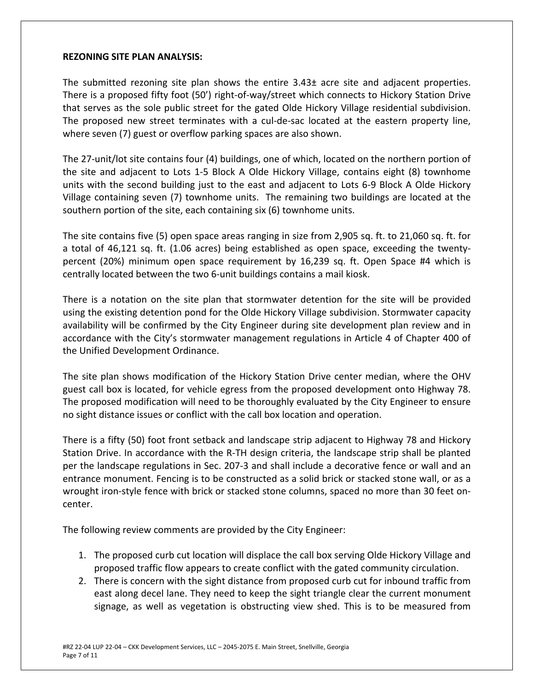#### **REZONING SITE PLAN ANALYSIS:**

The submitted rezoning site plan shows the entire  $3.43\pm$  acre site and adjacent properties. There is a proposed fifty foot (50') right‐of‐way/street which connects to Hickory Station Drive that serves as the sole public street for the gated Olde Hickory Village residential subdivision. The proposed new street terminates with a cul-de-sac located at the eastern property line, where seven (7) guest or overflow parking spaces are also shown.

The 27‐unit/lot site contains four (4) buildings, one of which, located on the northern portion of the site and adjacent to Lots 1-5 Block A Olde Hickory Village, contains eight (8) townhome units with the second building just to the east and adjacent to Lots 6‐9 Block A Olde Hickory Village containing seven (7) townhome units. The remaining two buildings are located at the southern portion of the site, each containing six (6) townhome units.

The site contains five (5) open space areas ranging in size from 2,905 sq. ft. to 21,060 sq. ft. for a total of 46,121 sq. ft. (1.06 acres) being established as open space, exceeding the twenty‐ percent (20%) minimum open space requirement by 16,239 sq. ft. Open Space #4 which is centrally located between the two 6‐unit buildings contains a mail kiosk.

There is a notation on the site plan that stormwater detention for the site will be provided using the existing detention pond for the Olde Hickory Village subdivision. Stormwater capacity availability will be confirmed by the City Engineer during site development plan review and in accordance with the City's stormwater management regulations in Article 4 of Chapter 400 of the Unified Development Ordinance.

The site plan shows modification of the Hickory Station Drive center median, where the OHV guest call box is located, for vehicle egress from the proposed development onto Highway 78. The proposed modification will need to be thoroughly evaluated by the City Engineer to ensure no sight distance issues or conflict with the call box location and operation.

There is a fifty (50) foot front setback and landscape strip adjacent to Highway 78 and Hickory Station Drive. In accordance with the R‐TH design criteria, the landscape strip shall be planted per the landscape regulations in Sec. 207‐3 and shall include a decorative fence or wall and an entrance monument. Fencing is to be constructed as a solid brick or stacked stone wall, or as a wrought iron‐style fence with brick or stacked stone columns, spaced no more than 30 feet on‐ center.

The following review comments are provided by the City Engineer:

- 1. The proposed curb cut location will displace the call box serving Olde Hickory Village and proposed traffic flow appears to create conflict with the gated community circulation.
- 2. There is concern with the sight distance from proposed curb cut for inbound traffic from east along decel lane. They need to keep the sight triangle clear the current monument signage, as well as vegetation is obstructing view shed. This is to be measured from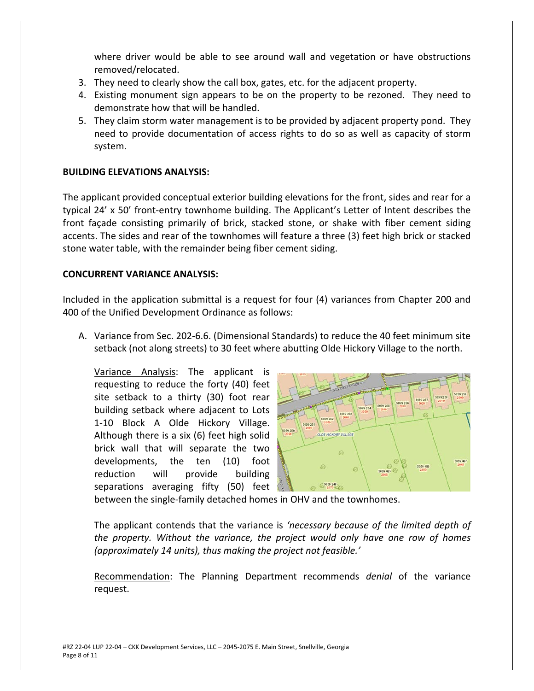where driver would be able to see around wall and vegetation or have obstructions removed/relocated.

- 3. They need to clearly show the call box, gates, etc. for the adjacent property.
- 4. Existing monument sign appears to be on the property to be rezoned. They need to demonstrate how that will be handled.
- 5. They claim storm water management is to be provided by adjacent property pond. They need to provide documentation of access rights to do so as well as capacity of storm system.

## **BUILDING ELEVATIONS ANALYSIS:**

The applicant provided conceptual exterior building elevations for the front, sides and rear for a typical 24' x 50' front‐entry townhome building. The Applicant's Letter of Intent describes the front façade consisting primarily of brick, stacked stone, or shake with fiber cement siding accents. The sides and rear of the townhomes will feature a three (3) feet high brick or stacked stone water table, with the remainder being fiber cement siding.

## **CONCURRENT VARIANCE ANALYSIS:**

Included in the application submittal is a request for four (4) variances from Chapter 200 and 400 of the Unified Development Ordinance as follows:

A. Variance from Sec. 202‐6.6. (Dimensional Standards) to reduce the 40 feet minimum site setback (not along streets) to 30 feet where abutting Olde Hickory Village to the north.

Variance Analysis: The applicant is requesting to reduce the forty (40) feet site setback to a thirty (30) foot rear building setback where adjacent to Lots 1‐10 Block A Olde Hickory Village. Although there is a six (6) feet high solid brick wall that will separate the two developments, the ten (10) foot reduction will provide building separations averaging fifty (50) feet



between the single‐family detached homes in OHV and the townhomes.

The applicant contends that the variance is *'necessary because of the limited depth of the property. Without the variance, the project would only have one row of homes (approximately 14 units), thus making the project not feasible.'* 

Recommendation: The Planning Department recommends *denial*  of the variance request.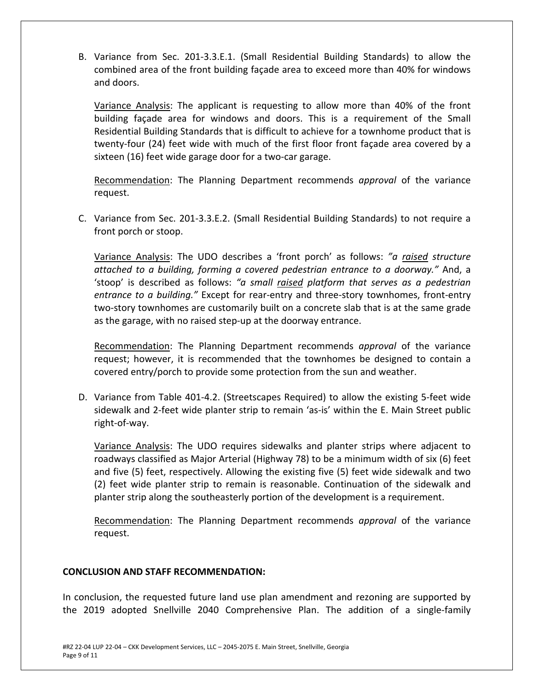B. Variance from Sec. 201‐3.3.E.1. (Small Residential Building Standards) to allow the combined area of the front building façade area to exceed more than 40% for windows and doors.

Variance Analysis: The applicant is requesting to allow more than 40% of the front building façade area for windows and doors. This is a requirement of the Small Residential Building Standards that is difficult to achieve for a townhome product that is twenty-four (24) feet wide with much of the first floor front façade area covered by a sixteen (16) feet wide garage door for a two-car garage.

Recommendation: The Planning Department recommends *approval*  of the variance request.

C. Variance from Sec. 201‐3.3.E.2. (Small Residential Building Standards) to not require a front porch or stoop.

Variance Analysis: The UDO describes a 'front porch' as follows: *"a raised structure attached to a building, forming a covered pedestrian entrance to a doorway."* And, a 'stoop' is described as follows: *"a small raised platform that serves as a pedestrian*  entrance to a building." Except for rear-entry and three-story townhomes, front-entry two‐story townhomes are customarily built on a concrete slab that is at the same grade as the garage, with no raised step-up at the doorway entrance.

Recommendation: The Planning Department recommends *approval*  of the variance request; however, it is recommended that the townhomes be designed to contain a covered entry/porch to provide some protection from the sun and weather.

D. Variance from Table 401‐4.2. (Streetscapes Required) to allow the existing 5‐feet wide sidewalk and 2‐feet wide planter strip to remain 'as‐is' within the E. Main Street public right‐of‐way.

Variance Analysis: The UDO requires sidewalks and planter strips where adjacent to roadways classified as Major Arterial (Highway 78) to be a minimum width of six (6) feet and five (5) feet, respectively. Allowing the existing five (5) feet wide sidewalk and two (2) feet wide planter strip to remain is reasonable. Continuation of the sidewalk and planter strip along the southeasterly portion of the development is a requirement.

Recommendation: The Planning Department recommends *approval*  of the variance request.

## **CONCLUSION AND STAFF RECOMMENDATION:**

In conclusion, the requested future land use plan amendment and rezoning are supported by the 2019 adopted Snellville 2040 Comprehensive Plan. The addition of a single‐family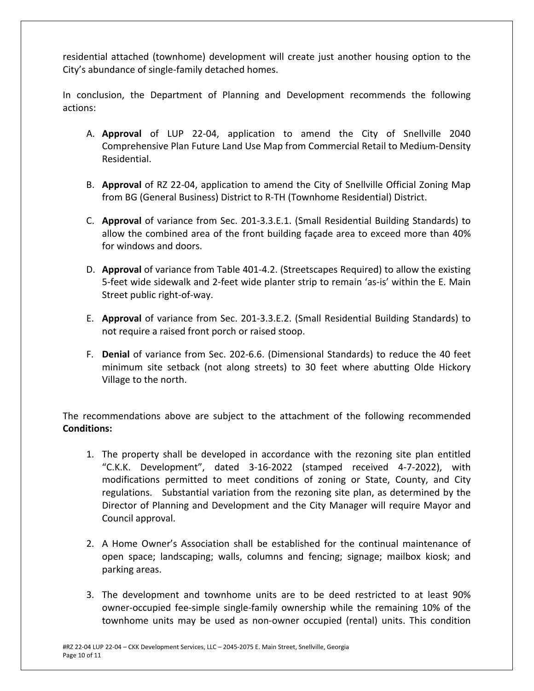residential attached (townhome) development will create just another housing option to the City's abundance of single‐family detached homes.

In conclusion, the Department of Planning and Development recommends the following actions:

- A. **Approval** of LUP 22‐04, application to amend the City of Snellville 2040 Comprehensive Plan Future Land Use Map from Commercial Retail to Medium‐Density Residential.
- B. **Approval** of RZ 22‐04, application to amend the City of Snellville Official Zoning Map from BG (General Business) District to R‐TH (Townhome Residential) District.
- C. **Approval** of variance from Sec. 201‐3.3.E.1. (Small Residential Building Standards) to allow the combined area of the front building façade area to exceed more than 40% for windows and doors.
- D. **Approval** of variance from Table 401‐4.2. (Streetscapes Required) to allow the existing 5-feet wide sidewalk and 2-feet wide planter strip to remain 'as-is' within the E. Main Street public right‐of‐way.
- E. **Approval** of variance from Sec. 201‐3.3.E.2. (Small Residential Building Standards) to not require a raised front porch or raised stoop.
- F. **Denial** of variance from Sec. 202‐6.6. (Dimensional Standards) to reduce the 40 feet minimum site setback (not along streets) to 30 feet where abutting Olde Hickory Village to the north.

The recommendations above are subject to the attachment of the following recommended **Conditions:** 

- 1. The property shall be developed in accordance with the rezoning site plan entitled "C.K.K. Development", dated 3‐16‐2022 (stamped received 4‐7‐2022), with modifications permitted to meet conditions of zoning or State, County, and City regulations. Substantial variation from the rezoning site plan, as determined by the Director of Planning and Development and the City Manager will require Mayor and Council approval.
- 2. A Home Owner's Association shall be established for the continual maintenance of open space; landscaping; walls, columns and fencing; signage; mailbox kiosk; and parking areas.
- 3. The development and townhome units are to be deed restricted to at least 90% owner‐occupied fee‐simple single‐family ownership while the remaining 10% of the townhome units may be used as non‐owner occupied (rental) units. This condition